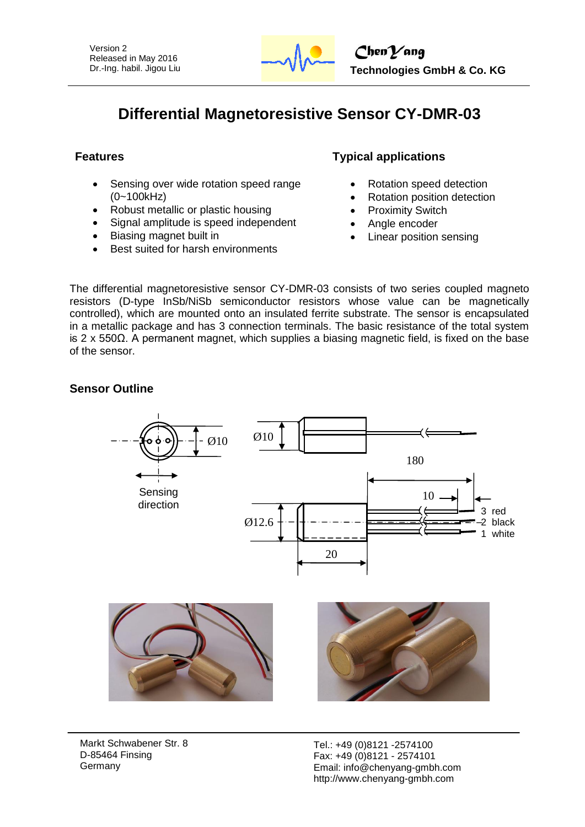

# **Differential Magnetoresistive Sensor CY-DMR-03**

- Sensing over wide rotation speed range (0~100kHz)
- Robust metallic or plastic housing
- Signal amplitude is speed independent
- Biasing magnet built in
- Best suited for harsh environments

# **Features Typical applications**

- Rotation speed detection
- Rotation position detection
- Proximity Switch
- Angle encoder
- Linear position sensing

The differential magnetoresistive sensor CY-DMR-03 consists of two series coupled magneto resistors (D-type InSb/NiSb semiconductor resistors whose value can be magnetically controlled), which are mounted onto an insulated ferrite substrate. The sensor is encapsulated in a metallic package and has 3 connection terminals. The basic resistance of the total system is 2 x 550 $Ω$ . A permanent magnet, which supplies a biasing magnetic field, is fixed on the base of the sensor.

## **Sensor Outline**



Markt Schwabener Str. 8 D-85464 Finsing Germany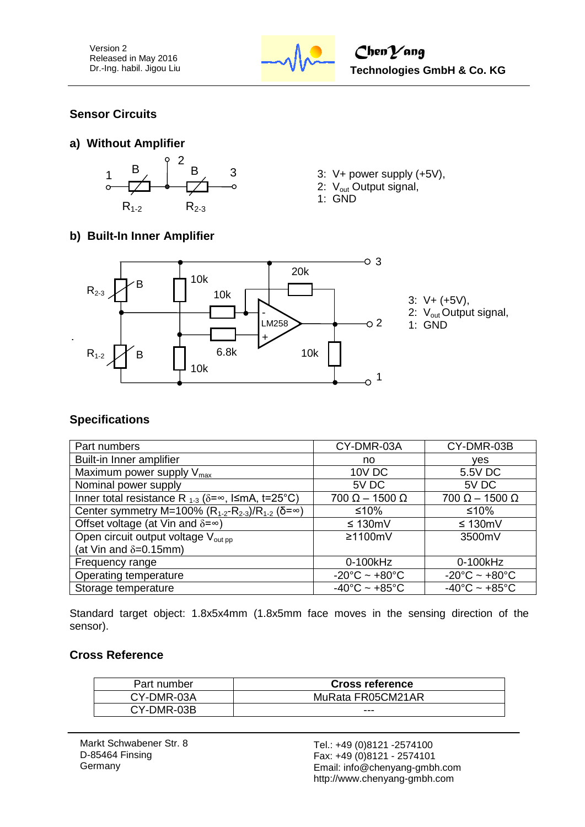

# **Sensor Circuits**





- 
- 2: V<sub>out</sub> Output signal,
- 1: GND

# **b) Built-In Inner Amplifier**



- 3: V+ (+5V),
- 2: V<sub>out</sub> Output signal,
- 1: GND

# **Specifications**

| Part numbers                                                                 | CY-DMR-03A                        | CY-DMR-03B                         |
|------------------------------------------------------------------------------|-----------------------------------|------------------------------------|
| Built-in Inner amplifier                                                     | no                                | ves                                |
| Maximum power supply $V_{\text{max}}$                                        | <b>10V DC</b>                     | 5.5V DC                            |
| Nominal power supply                                                         | 5V DC                             | 5V DC                              |
| Inner total resistance R $_{1-3}$ ( $\delta = \infty$ , I $\leq$ mA, t=25°C) | $700 \Omega - 1500 \Omega$        | $700 \Omega - 1500 \Omega$         |
| Center symmetry M=100% ( $R_{1-2}-R_{2-3}$ )/ $R_{1-2}$ ( $\delta=\infty$ )  | ≤10%                              | ≤10%                               |
| Offset voltage (at Vin and $\delta = \infty$ )                               | $\leq 130$ mV                     | $\leq 130$ mV                      |
| Open circuit output voltage V <sub>out pp</sub>                              | $≥1100mV$                         | 3500mV                             |
| (at Vin and $\delta = 0.15$ mm)                                              |                                   |                                    |
| Frequency range                                                              | 0-100kHz                          | 0-100kHz                           |
| Operating temperature                                                        | $-20^{\circ}$ C ~ $+80^{\circ}$ C | $-20^{\circ}$ C ~ +80 $^{\circ}$ C |
| Storage temperature                                                          | $-40^{\circ}$ C ~ $+85^{\circ}$ C | $-40^{\circ}$ C ~ $+85^{\circ}$ C  |

Standard target object: 1.8x5x4mm (1.8x5mm face moves in the sensing direction of the sensor).

## **Cross Reference**

| Part number | <b>Cross reference</b> |
|-------------|------------------------|
| CY-DMR-03A  | MuRata FR05CM21AR      |
| CY-DMR-03B  | ---                    |

Markt Schwabener Str. 8 D-85464 Finsing **Germany**